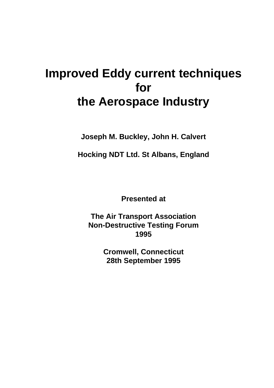**Joseph M. Buckley, John H. Calvert**

**Hocking NDT Ltd. St Albans, England**

**Presented at**

**The Air Transport Association Non-Destructive Testing Forum 1995**

> **Cromwell, Connecticut 28th September 1995**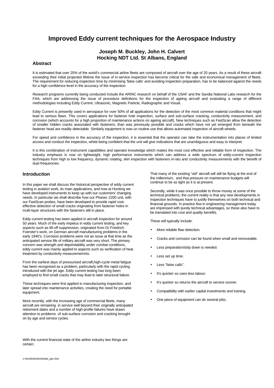## **Joseph M. Buckley, John H. Calvert Hocking NDT Ltd. St Albans, England**

### **Abstract**

It is estimated that over 25% of the world's commercial airline fleets are composed of aircraft over the age of 20 years. As a result of these aircraft exceeding their initial projected lifetime the issue of in-service inspection has become critical for the safe and economical management of fleets. The requirement for reducing inspection time by minimising 'false calls' and avoiding inspection preparation, has to be balanced against the needs for a high confidence level in the accuracy of the inspection.

Research programs currently being conducted include the ARINC research on behalf of the USAF and the Sandia National Labs research for the FAA, which are addressing the issue of procedure definitions for the inspection of ageing aircraft and evaluating a range of different methodologies including Eddy Current, Ultrasonic, Magnetic Particle, Radiographic and Visual.

Eddy Current is presently used in aerospace for over 50% of all applications for the detection of the most common material conditions that might lead to serious flaws. This covers applications for fastener hole inspection, surface and sub-surface cracking, conductivity measurement, and corrosion (which accounts for a high proportion of maintenance actions on ageing aircraft). New techniques such as FastScan allow the detection of smaller hidden cracks associated with fasteners, than was previously possible and cracks which have not yet emerged from beneath the fastener head are readily detectable. Similarly equipment is now un routine use that allows automated inspection of aircraft wheels.

For speed and confidence in the accuracy of the inspection, it is essential that the operator can take the instrumentation into places of limited access and conduct the inspection, whilst being confident that the unit will give indications that are unambiguous and easy to interpret.

It is this combination of instrument capabilities and operator knowledge which makes the most cost effective and reliable form of inspection. The industry emphasis is now on lightweight, high performance instruments which can address a wide spectrum of eddy-current inspection techniques from high to low frequency, dynamic rotating, skin inspection with fasteners in-situ and conductivity measurements with the benefit of dual frequencies.

## **Introduction**

In this paper we shall discuss the historical perspective of eddy current testing in aviation work, its main applications, and how at Hocking we have developed instruments to keep up with our customers' changing needs. In particular we shall describe how our Phasec 2200 unit, with our FastScan probes, have been developed to provide rapid costeffective detection of small cracks originating from fastener holes in multi-layer structures with the fasteners still in place.

Eddy current testing has been applied in aircraft inspection for around 50 years. Much of the early impetus in eddy current testing, and key aspects such as lift-off suppression, originated from Dr Friedrich Foerster's work, on German aircraft manufacturing problems in the early 1940's. Corrosion problems were not an issue at that time as the anticipated service life of military aircraft was very short. The primary concern was strength and dependability under combat conditions, eddy current was mainly applied to aspects such as verification of heat treatment by conductivity measurememnts.

From the earliest days of pressurised aircraft,high-cycle metal fatigue has been recognised as a problem, particularly with the rapid cycling introduced with the jet age. Eddy current testing has long been employed to find small cracks that may lead to later structural failure.

These techniques were first applied in manufacturing inspection, and later spread into maintenance activities, creating the need for portable equipment.

More recently, with the increasing age of commercial fleets, many aircraft are remaining in service well beyond their originally anticipated retirement dates and a number of high-profile failures have drawn attention to problems of sub-surface corrosion and cracking brought on by age and service cycles.

With the current financial state of the airline industry two things are certain;

That many of the existing "old" aircraft will still be flying at the end of the millennium, and that pressure on maintenance budgets will continue to be as tight as it is at present.

Secondly, while it was once possible to throw money at some of the technical problems, the current reality is that any new developments in inspection techniques have to justify themselves on both technical and financial grounds. In practice few in engineering management today are impressed with purely technical advantages, so these also have to be translated into cost and quality benefits.

These will typically include:

- More reliable flaw detection.
- Cracks and corrosion can be found when small and removeable.
- Less preparation/strip down is needed.
- Less set up time.
- Less "false calls".
- It's quicker so uses less labour.
- It's quicker so returns the aircraft to service sooner.
- Compatibility with earlier capital investments and training.
- One piece of equipment can do several jobs.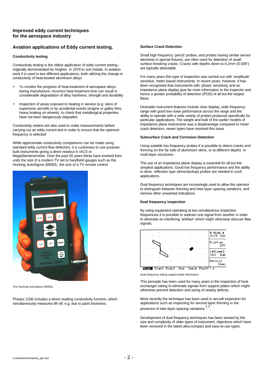## **Aviation applications of Eddy current testing.**

#### **Conductivity testing**

Conductivity testing is the oldest application of eddy current testing originally demonstrated by Hughes in 1879 to sort metals. In aviation work it is used in two different applications, both utilizing the change in conductivity of heat-treated aluminium alloys

- To monitor the progress of heat-treatment of aerospace alloys during manufacture. Incorrect heat treatment time can result in considerable degradation of alloy hardness, strength and durability
- Inspection of areas exposed to heating in service (e.g. skins of supersonic aircraft) or by accidental events (engine or galley fires, heavy braking on wheels) to check that metallurgical properties have not been dangerously degraded.

Conductivity meters are also used to make measurements before carrying out an eddy current test in order to ensure that the optimum frequency is selected

While approximate conductivity comparisons can be made using standard eddy current flaw detectors, it is customary to use purposebuilt instruments giving a direct readout in IACS or MegaSiemens/meter. Over the past 50 years these have evolved from units the size of a modern TV set to handheld gauges such as the Hocking AutoSigma 3000DL; the size of a TV remote control



The Hocking AutoSigma 3000DL

Phasec 2200 includes a direct reading conductivity function, which simultaneously measures lift-off, e.g. due to paint thickness.

#### **Surface Crack Detection**

Small high frequency 'pencil' probes, and probes having similar sensor elements in special fixtures, are often used for detection of small surface breaking cracks. Cracks with depths down to 0.2mm (0.008") are typically detectable.

For many years this type of inspection was carried out with 'amplitude' sensitive, meter based instruments. In recent years, however, it has been recognised that instruments with 'phase' sensitivity and an impedance plane display give far more information to the inspector and hence a greater probability of detection (POD) of all but the largest flaws.

Desirable instrument features include clear display, wide frequency range with good low noise performance across the range and the ability to operate with a wide variety of probes produced specifically for particular applications. The weight and bulk of the earlier models of .<br>impedance plane instruments was a disadvantage compared to meter crack detectors, newer types have resolved this issue.

#### **Subsurface Crack and Corrosion Detection**

Using suitable low frequency probes it is possible to detect cracks and thinning on the far side of aluminium skins, or at different depths in multi-layer structures.

The use of an impedance plane display is essential for all but the simplest applications. Good low frequency performance and the ability to drive reflection type (driver/pickup) probes are needed in such applications.

Dual frequency techniques are increasingly used to allow the operator to distinguish between thinning and inter-layer spacing variations, and remove other unwanted indications.

#### **Dual frequency inspection**

By using equipment operating at two simultaneous inspection frequencies it is possible to subtract one signal from another in order to eliminate an interfering 'artefact' which might otherwise obscure flaw signals,



Dual frequency tubing support plate elimination

This principle has been used for many years in the inspection of heat exchanger tubing to eliminate signals from support plates which might otherwise prevent detection and sizing of nearby defects.

More recently the technique has been used in aircraft inspection for applications such as inspecting for second layer thinning in the presence of inter-layer spacing variations 2 .

Development of dual frequency techniques has been slowed by the size and complexity of older types of instrument, objections which have been removed in the latest ultra-compact and easy-to-use types.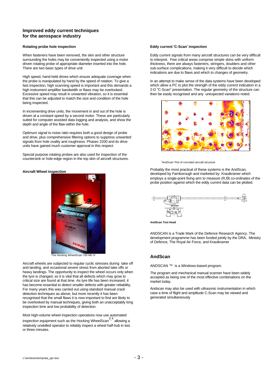#### **Rotating probe hole inspection**

When fasteners have been removed, the skin and other structure surrounding the holes may be conveniently inspected using a motor driven rotating probe of appropriate diameter inserted into the hole. There are two basic types of drive unit:

High speed, hand-held drives which ensure adequate coverage when the probe is manipulated by hand by the speed of rotation. To give a fast inspection, high scanning speed is important and this demands a high instrument amplifier bandwidth or flaws may be overlooked. Excessive speed may result in unwanted vibration, so it is essential that this can be adjusted to match the size and condition of the hole being inspected.

In incrementing drive units, the movement in and out of the hole is driven at a constant speed by a second motor. These are particularly suited for computer assisted data logging and analysis, and show the depth and angle of the flaw within the hole.

Optimum signal to noise ratio requires both a good design of probe and drive, plus comprehensive filtering options to suppress unwanted signals from hole ovality and roughness. Phasec 2200 and its drive units have gained much customer approval in this respect.

Special purpose rotating probes are also used for inspection of the countersink or hole-edge region in the top skin of aircraft structures.

#### **Aircraft Wheel inspection**



The Hocking WheelScan 700 Mk IV

Aircraft wheels are subjected to regular cyclic stresses during take off and landing, and occasional severe stress from aborted take offs or heavy landings. The opportunity to inspect the wheel occurs only when the tyre is changed, so it is vital that all defects which may grow to critical size are found at that time. As tyre life has been increased, it has become essential to detect smaller defects with greater reliability, For many years this was carried out using standard manual crack detection techniques as above, but more recently it has been recognised that the small flaws it is now important to find are likely to be overlooked by manual techniques, giving both an unacceptably long inspection time and low probability of detection.

Most high-volume wheel inspection operations now use automated inspection equipment such as the Hocking WheelScan<sup>3,4</sup> allowing a relatively unskilled operator to reliably inspect a wheel half-hub in two or three minutes.

#### **Eddy current 'C-Scan' inspection**

Eddy current signals from many aircraft structures can be very difficult to interpret. Few critical areas comprise simple skins with uniform thickness, there are always fasteners, stringers, doublers and other sub-surface complications, making it very difficult to decide which indications are due to flaws and which to changes of geometry.

In an attempt to make sense of the data systems have been developed which allow a PC to plot the strength of the eddy current indication in a 2-D "C-Scan" presentation. The regular geometry of the structure can then be easily recognised and any unexpected variations noted.



'AndScan' Plot of corroded aircraft structure

Probably the most practical of these systems is the AndScan, developed by Farnborough and marketed by Krautkramer which employs a single-point fixing arm to measure (R,Θ) co-ordinates of the probe position against which the eddy current data can be plotted.



**AndScan Test Head**

ANDSCAN is a Trade Mark of the Defence Research Agency. The development programme has been funded jointly by the DRA, Ministry of Defence, The Royal Air Force, and Krautkramer

## **AndScan**

ANDSCAN ™ is a Windows-based program.

The program and mechanical manual scanner have been widely accepted as being one of the most effective combinations on the market today.

Andscan may also be used with ultrasonic instrumentation in which case a time of flight and amplitude C-Scan may be viewed and generated simultaneously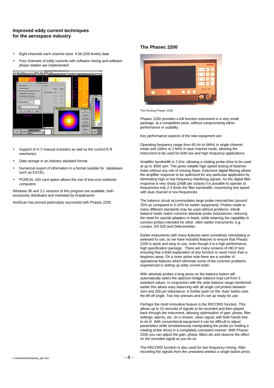- Εight channels each channel store 8 bit (256 levels) data
- Four channels of eddy currents with software mixing and software phase rotation are implemented



- Support of X-Y manual scanners as well as the current R  $\theta$ mechanics
- Data storage in an industry standard format
- Numerical export of information in a format suitable for databases such as EXCEL
- PCMCIA. A/D card option allows the use of low-cost notebook computers

Windows 95 and 3.1 versions of this program are available, both exclusively distributed and marketed by Krautkramer.

AndScan has proved particularly successful with Phasec 2200.

#### **The Phasec 2200**



The Hocking Phasec 2200

Phasec 2200 provides a full function instrument in a very small package, at a competitive price, without compromising either performance or usability.

Key performance aspects of the new equipment are:

Operating frequency range from 60 Hz to 6MHz in single channel mode and 100Hz to 2 MHz in dual channel mode, allowing the instrument to be used for both low and high frequency applications.

Amplifier bandwidth is 2 kHz, allowing a rotating probe drive to be used at up to 3000 rpm. This gives reliable high speed testing of fastenerholes without any risk of missing flaws. Extensive digital filtering allows the amplifier response to be optimized for any particular application by eliminating high or low frequency interfering signals. As the digital filter response is very sharp (24dB per octave) it is possible to operate at frequencies only 2-3 times the filter bandwidth, maximizing test speed with dual channel or low frequencies

The balance circuit accommodates large probe mismatches (around 25% as compared to 5-10% for earlier equipment). Probes made to many different standards may be used without problems. Inbuilt balance loads match common absolute probe inductances, reducing the need for special adapters or leads, while retaining the capability to connect probes intended for other, often earlier instruments, e.g. Locator, ED 520 and Defectometer.

Earlier instruments with many features were sometimes intimidating or awkward to use, so we have included features to ensure that Phasec 2200 is quick and easy to use, even though it is a high performance, high specification package. There are many screens of HELP text ensuring that a brief explanation of any function is never more than a keypress away. On a more active note there are a number of operational features which eliminate some of the common problems experienced in setting up eddy current tests:

With absolute probes a long press on the balance button will automatically select the optimum bridge balance load coil from 5 standard values. In conjunction with the wide balance range mentioned earlier this allows easy balancing with all single coil probes between zero and 200 μH inductance. A further push on the 'Auto' button sets the lift-off angle. Two key presses and it's set up ready for use.

Perhaps the most innovative feature is the RECORD function. This allows up to 15 seconds of signals to be recorded and then played back through the instrument, allowing optimisation of gain, phase, filter settings, alarms, etc. on a chosen, clean signal, with both hands free to do it! With conventional equipment it can be difficult to adjust parameters while simultaneously manipulating the probe (or holding a rotating probe drive) in a completely consistent manner. With Phasec 2200 you can adjust the gain, phase, filters etc and observe the effect on the recorded signal as you do so.

The RECORD function is also used for two frequency mixing. After recording the signals from the unwanted artefact a single button press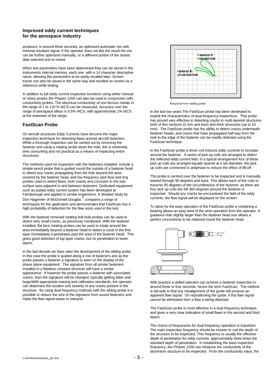produces, in around three seconds, an optimized automatic mix with minimal resultant signal. If the operator does not like the result the mix can be further optimized manually, or a different portion of the stored data selected and re-mixed.

When test parameters have been determined they can be stored in the instruments internal memory, each one with a 14 character descriptive name, allowing the parameters to be easily recalled later. Screen traces can also be saved in the same way and recalled on screen as a reference while testing.

In addition to full eddy current inspection functions using either manual or rotary probes the Phasec 2200 can also be used in conjunction with conductivity probes. The electrical conductivity of non-ferrous metals in the range of 1 to 110 % IACS can be measured. Accuracy over the range of aerospace alloys is 0.5% IACS, with approximztely 1% IACS at the extremes of the range.

## **FastScan Probe**

On aircraft structures Eddy Currents have become the major inspection technique for detecting flaws around aircraft fasteners. While a thorough inspection can be carried out by removing the fastener and using a rotating probe down the hole, this is extremely time consuming and not practical as a means of inspecting entire structures.

The methods used for inspection with the fasteners installed include a simple pencil probe that is guided round the outside of a fastener head to detect any cracks propagating from the hole beyond the area covered by the fastener head, and low frequency spot face and ring probes used to detect flaws, both cracks and corrosion in the subsurface area adjacent to and between fasteners. Dedicated equipment such as pulsed eddy current system has been developed at Farnborough and applied to similar inspections. A detailed study by<br>Don Hagemier of McDonnell Douglas <sup>5</sup> compares a range of techniques for the application and demonstrates that FastScan has a high probability of detection for the flaw sizes used in the test.

With the fastener removed rotating bolt hole probes can be used to detect very small cracks, as previously mentioned. With the fastener installed, flat face rotating probes can be used to rotate around the area immediately beyond a fastener head to detect a crack in the first layer immediately it penetrates past the area of the fastener head. This gives good detection of top layer cracks, but no penetration to lower layers.

In the last decade we have seen the development of the sliding probe. In this case the probe is guided along a row of fasteners and as the probe passes a fastener a signature is seen on the display of the phase plane equipment. The signature from all similar fasteners installed in a flawless constant structure will have a similar appearance. If however the probe passes a fastener with associated cracks, then the signature will be changed, typically getting fatter and largerWith appropriate training and calibration standards, the operator can determine the location and severity of any cracks present in the structure. By using dual frequency methods with the sliding probe it is possible to reduce the size of the signature from sound fasteners and make the flaw signal easier to interpret.



Response from sliding probe

In the last two years The FastScan probe has been developed to exploit the characteristics of dual frequency inspections. This probe has proved very effective in detecting cracks in multi-layered structures both of thin sections (2 mm and less) and thick structures (up to 10 mm). The FastScan probe has the ability to detect cracks underneath fastener heads, and cracks that have propagated half way from the hole to the edge of the fastener can be readily detected using the FastScan technique.

In the FastScan probe a driver coil induces eddy currents to circulate around the fastener. A series of pick up coils are arranged to detect the reflected eddy current field. In a typical arrangement four of these pick up coils are arranged equally spaced at a set diameter, the pick up coils are connected in antiphase to reduce the effect of lift-off.

The probe is centred over the fastener to be inspected and is manually twisted through 90 degrees and back. This allows each of the coils to traverse 90 degrees of the circumference of the fastener; as there are four pick up coils the full 360 degrees around the fastener is inspected. Should any cracks be encountered the field of the eddy currents, the flaw signal will be displayed on the screen.

To allow for the easy operation of the FastScan probe a containing a bearing allows an easy twist of the wrist operation from the operator. A guidance hole slightly larger than the fastener head size allows a perfect concentricity to be obtained round the fastener head.



With practice a skilled operator can achieve a fastener inspection in around three or four seconds, hence the term FastScan. The method is fail-safe in that any misalignment of the guide will produce an apparent flaw signal. On repositioning the guide, if this flaw signal cannot be eliminated then a flaw is being detected.

The FastScan probe is most effective in a dual frequency technique, and gives a very clear indication of small flaws in the second and third layers.

The choice of frequencies for dual frequency operation is important. The main inspection frequency should be chosen to suit the depth of the structure to be inspected. This frequency is usually the effective depth of penetration for eddy currents, approximately three times the standard depth of penetration. In establishing the base inspection frequency, the Phasec 2200 can measure the conductivity of the aluminium structure to be inspected. From the conductivity value, the